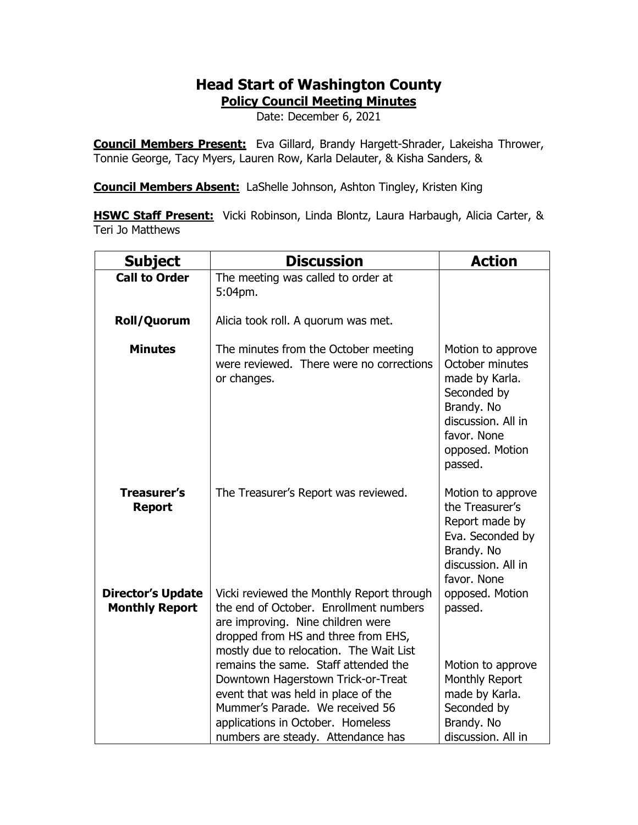## **Head Start of Washington County**

**Policy Council Meeting Minutes**

Date: December 6, 2021

**Council Members Present:** Eva Gillard, Brandy Hargett-Shrader, Lakeisha Thrower, Tonnie George, Tacy Myers, Lauren Row, Karla Delauter, & Kisha Sanders, &

**Council Members Absent:** LaShelle Johnson, Ashton Tingley, Kristen King

**HSWC Staff Present:** Vicki Robinson, Linda Blontz, Laura Harbaugh, Alicia Carter, & Teri Jo Matthews

| <b>Subject</b>                                    | <b>Discussion</b>                                                                                                                                                                                                                                                                                                                                                                                                                             | <b>Action</b>                                                                                                                                          |
|---------------------------------------------------|-----------------------------------------------------------------------------------------------------------------------------------------------------------------------------------------------------------------------------------------------------------------------------------------------------------------------------------------------------------------------------------------------------------------------------------------------|--------------------------------------------------------------------------------------------------------------------------------------------------------|
| <b>Call to Order</b>                              | The meeting was called to order at<br>5:04pm.                                                                                                                                                                                                                                                                                                                                                                                                 |                                                                                                                                                        |
| Roll/Quorum                                       | Alicia took roll. A quorum was met.                                                                                                                                                                                                                                                                                                                                                                                                           |                                                                                                                                                        |
| <b>Minutes</b>                                    | The minutes from the October meeting<br>were reviewed. There were no corrections<br>or changes.                                                                                                                                                                                                                                                                                                                                               | Motion to approve<br>October minutes<br>made by Karla.<br>Seconded by<br>Brandy. No<br>discussion. All in<br>favor. None<br>opposed. Motion<br>passed. |
| <b>Treasurer's</b><br><b>Report</b>               | The Treasurer's Report was reviewed.                                                                                                                                                                                                                                                                                                                                                                                                          | Motion to approve<br>the Treasurer's<br>Report made by<br>Eva. Seconded by<br>Brandy. No<br>discussion. All in<br>favor. None                          |
| <b>Director's Update</b><br><b>Monthly Report</b> | Vicki reviewed the Monthly Report through<br>the end of October. Enrollment numbers<br>are improving. Nine children were<br>dropped from HS and three from EHS,<br>mostly due to relocation. The Wait List<br>remains the same. Staff attended the<br>Downtown Hagerstown Trick-or-Treat<br>event that was held in place of the<br>Mummer's Parade. We received 56<br>applications in October. Homeless<br>numbers are steady. Attendance has | opposed. Motion<br>passed.<br>Motion to approve<br>Monthly Report<br>made by Karla.<br>Seconded by<br>Brandy. No<br>discussion. All in                 |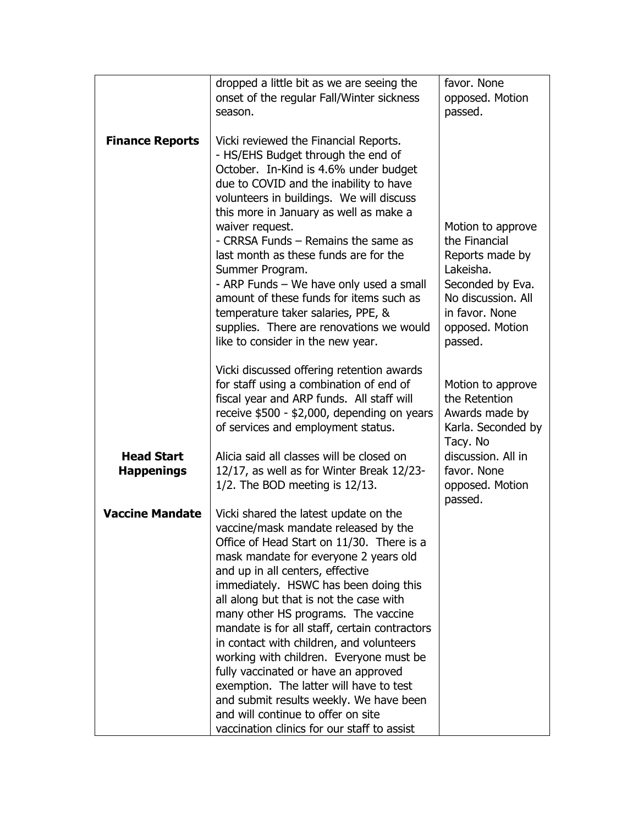|                                        | dropped a little bit as we are seeing the<br>onset of the regular Fall/Winter sickness                                                                                                                                                                                                                                                                                                                                                                                                                                                                                                                                                                                                        | favor. None<br>opposed. Motion                                                                                                                               |
|----------------------------------------|-----------------------------------------------------------------------------------------------------------------------------------------------------------------------------------------------------------------------------------------------------------------------------------------------------------------------------------------------------------------------------------------------------------------------------------------------------------------------------------------------------------------------------------------------------------------------------------------------------------------------------------------------------------------------------------------------|--------------------------------------------------------------------------------------------------------------------------------------------------------------|
|                                        | season.                                                                                                                                                                                                                                                                                                                                                                                                                                                                                                                                                                                                                                                                                       | passed.                                                                                                                                                      |
| <b>Finance Reports</b>                 | Vicki reviewed the Financial Reports.<br>- HS/EHS Budget through the end of<br>October. In-Kind is 4.6% under budget<br>due to COVID and the inability to have<br>volunteers in buildings. We will discuss<br>this more in January as well as make a<br>waiver request.<br>- CRRSA Funds - Remains the same as<br>last month as these funds are for the<br>Summer Program.<br>- ARP Funds - We have only used a small<br>amount of these funds for items such as<br>temperature taker salaries, PPE, &<br>supplies. There are renovations we would<br>like to consider in the new year.                                                                                                       | Motion to approve<br>the Financial<br>Reports made by<br>Lakeisha.<br>Seconded by Eva.<br>No discussion. All<br>in favor. None<br>opposed. Motion<br>passed. |
|                                        | Vicki discussed offering retention awards<br>for staff using a combination of end of<br>fiscal year and ARP funds. All staff will<br>receive \$500 - \$2,000, depending on years<br>of services and employment status.                                                                                                                                                                                                                                                                                                                                                                                                                                                                        | Motion to approve<br>the Retention<br>Awards made by<br>Karla. Seconded by<br>Tacy. No                                                                       |
| <b>Head Start</b><br><b>Happenings</b> | Alicia said all classes will be closed on<br>12/17, as well as for Winter Break 12/23-<br>$1/2$ . The BOD meeting is $12/13$ .                                                                                                                                                                                                                                                                                                                                                                                                                                                                                                                                                                | discussion. All in<br>favor. None<br>opposed. Motion<br>passed.                                                                                              |
| <b>Vaccine Mandate</b>                 | Vicki shared the latest update on the<br>vaccine/mask mandate released by the<br>Office of Head Start on 11/30. There is a<br>mask mandate for everyone 2 years old<br>and up in all centers, effective<br>immediately. HSWC has been doing this<br>all along but that is not the case with<br>many other HS programs. The vaccine<br>mandate is for all staff, certain contractors<br>in contact with children, and volunteers<br>working with children. Everyone must be<br>fully vaccinated or have an approved<br>exemption. The latter will have to test<br>and submit results weekly. We have been<br>and will continue to offer on site<br>vaccination clinics for our staff to assist |                                                                                                                                                              |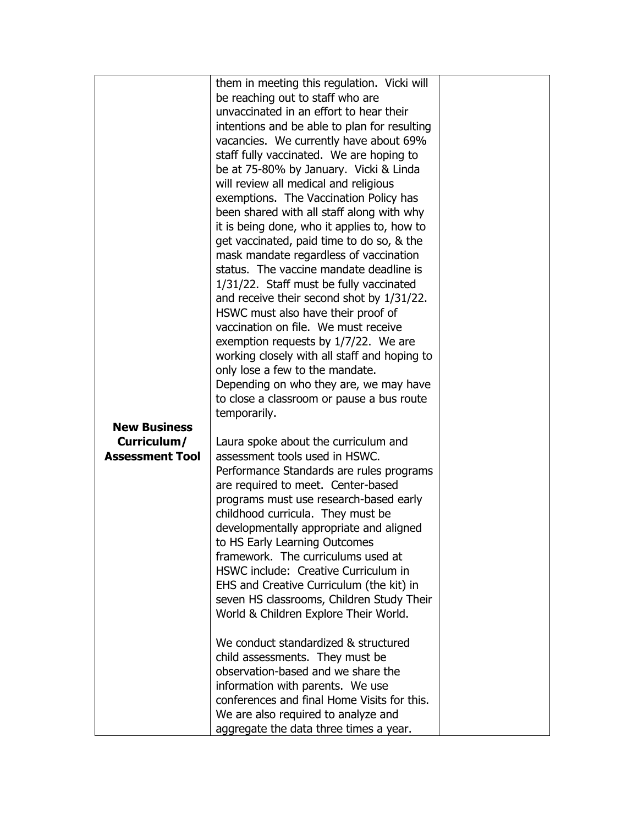|                                       | them in meeting this regulation. Vicki will                            |  |
|---------------------------------------|------------------------------------------------------------------------|--|
|                                       | be reaching out to staff who are                                       |  |
|                                       | unvaccinated in an effort to hear their                                |  |
|                                       | intentions and be able to plan for resulting                           |  |
|                                       | vacancies. We currently have about 69%                                 |  |
|                                       | staff fully vaccinated. We are hoping to                               |  |
|                                       | be at 75-80% by January. Vicki & Linda                                 |  |
|                                       | will review all medical and religious                                  |  |
|                                       | exemptions. The Vaccination Policy has                                 |  |
|                                       | been shared with all staff along with why                              |  |
|                                       | it is being done, who it applies to, how to                            |  |
|                                       | get vaccinated, paid time to do so, & the                              |  |
|                                       | mask mandate regardless of vaccination                                 |  |
|                                       | status. The vaccine mandate deadline is                                |  |
|                                       | 1/31/22. Staff must be fully vaccinated                                |  |
|                                       | and receive their second shot by 1/31/22.                              |  |
|                                       | HSWC must also have their proof of                                     |  |
|                                       | vaccination on file. We must receive                                   |  |
|                                       | exemption requests by 1/7/22. We are                                   |  |
|                                       | working closely with all staff and hoping to                           |  |
|                                       | only lose a few to the mandate.                                        |  |
|                                       | Depending on who they are, we may have                                 |  |
|                                       | to close a classroom or pause a bus route                              |  |
|                                       | temporarily.                                                           |  |
| <b>New Business</b>                   |                                                                        |  |
| Curriculum/<br><b>Assessment Tool</b> | Laura spoke about the curriculum and<br>assessment tools used in HSWC. |  |
|                                       | Performance Standards are rules programs                               |  |
|                                       | are required to meet. Center-based                                     |  |
|                                       | programs must use research-based early                                 |  |
|                                       | childhood curricula. They must be                                      |  |
|                                       | developmentally appropriate and aligned                                |  |
|                                       | to HS Early Learning Outcomes                                          |  |
|                                       | framework. The curriculums used at                                     |  |
|                                       | HSWC include: Creative Curriculum in                                   |  |
|                                       | EHS and Creative Curriculum (the kit) in                               |  |
|                                       | seven HS classrooms, Children Study Their                              |  |
|                                       | World & Children Explore Their World.                                  |  |
|                                       | We conduct standardized & structured                                   |  |
|                                       | child assessments. They must be                                        |  |
|                                       | observation-based and we share the                                     |  |
|                                       | information with parents. We use                                       |  |
|                                       | conferences and final Home Visits for this.                            |  |
|                                       | We are also required to analyze and                                    |  |
|                                       | aggregate the data three times a year.                                 |  |